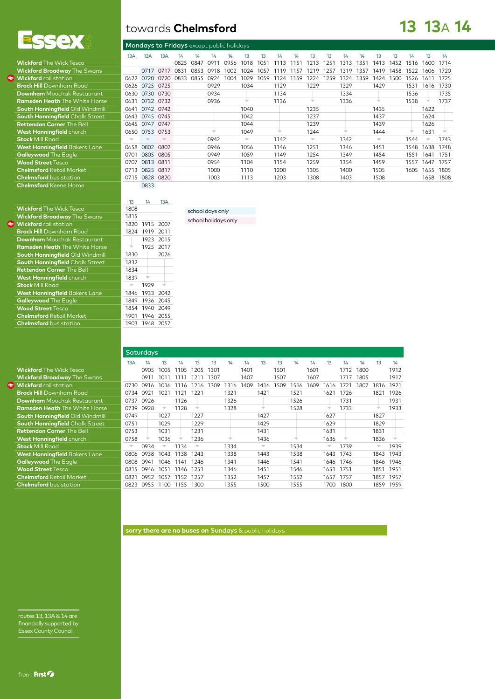

| <b>Wickford The Wick Tesco</b>         |      |      |
|----------------------------------------|------|------|
| <b>Wickford Broadway</b> The Swans     |      | 0717 |
| <b>Wickford</b> rail station           | 0622 | 0720 |
| <b>Brock Hill</b> Downham Road         | 0626 | 0725 |
| <b>Downham</b> Mouchak Restaurant      | 0630 | 0730 |
| <b>Ramsden Heath</b> The White Horse   | 0631 | 0732 |
| South Hanningfield Old Windmill        | 0641 | 0742 |
| <b>South Hanningfield Chalk Street</b> | 0643 | 0745 |
| <b>Rettendon Corner The Bell</b>       | 0645 | 0747 |
| West Hanningfield church               | 0650 | 0753 |
| <b>Stock Mill Road</b>                 |      |      |
| <b>West Hanningfield Bakers Lane</b>   | 0658 | 0802 |
| Galleywood The Eagle                   | 0701 | 0805 |
| <b>Wood Street Tesco</b>               | 0707 | 0813 |
| <b>Chelmsford Retail Market</b>        | 0713 | 0825 |
| <b>Chelmsford</b> bus station          | 0715 | 0828 |
| <b>Chelmsford Keene Home</b>           |      | 0833 |

|                                        | 13A  | 13A            | 13A                      | 14   | 14   | 14                       | 1/4  | 13                       | 13   |                          | 14   | 13                       | 13   | 14                       | 14   | 13                       | 13   |      | 13        | 14   |
|----------------------------------------|------|----------------|--------------------------|------|------|--------------------------|------|--------------------------|------|--------------------------|------|--------------------------|------|--------------------------|------|--------------------------|------|------|-----------|------|
| <b>Wickford The Wick Tesco</b>         |      |                |                          | 0825 | 0847 | 0911                     | 0956 | 1018                     | 1051 | 1113                     | 1151 | 1213                     | 1251 | 1313                     | 1351 | 1413                     | 1452 | 1516 | 1600      | 1714 |
| <b>Wickford Broadway</b> The Swans     |      | 0717           | 0717                     | 0831 | 0853 | 0918                     | 1002 | 1024                     | 1057 | 119                      | 1157 | 1219                     | 1257 | 1319                     | 1357 | 1419                     | 1458 | 1522 | 1606      | 1720 |
| <b>Wickford</b> rail station           | 0622 | 0720           | 0720                     | 0833 | 0855 | 0924                     | 1004 | 1029                     | 1059 | 124                      | 1159 | 1224                     | 1259 | 1324                     | 1359 | 1424                     | 1500 | 1526 | 1611      | 1725 |
| <b>Brock Hill</b> Downham Road         |      | 0626 0725 0725 |                          |      |      | 0929                     |      | 1034                     |      | 1129                     |      | 1229                     |      | 1329                     |      | 1429                     |      | 1531 | 1616      | 1730 |
| <b>Downham</b> Mouchak Restaurant      | 0630 | 0730 0730      |                          |      |      | 0934                     |      |                          |      | 1134                     |      |                          |      | 1334                     |      |                          |      | 1536 |           | 1735 |
| <b>Ramsden Heath</b> The White Horse   | 0631 | 0732 0732      |                          |      |      | 0936                     |      | $\overline{\phantom{a}}$ |      | 1136                     |      | $\overline{\phantom{a}}$ |      | 1336                     |      | ÷                        |      | 1538 |           | 1737 |
| South Hanningfield Old Windmill        | 0641 | 0742 0742      |                          |      |      |                          |      | 1040                     |      |                          |      | 1235                     |      |                          |      | 1435                     |      |      | 1622      |      |
| <b>South Hanningfield Chalk Street</b> | 0643 | 0745 0745      |                          |      |      |                          |      | 1042                     |      |                          |      | 1237                     |      |                          |      | 1437                     |      |      | 1624      |      |
| <b>Rettendon Corner The Bell</b>       | 0645 | 0747           | 0747                     |      |      |                          |      | 1044                     |      |                          |      | 1239                     |      |                          |      | 1439                     |      |      | 1626      |      |
| West Hanningfield church               | 0650 | 0753 0753      |                          |      |      | $\overline{\phantom{a}}$ |      | 1049                     |      | $\overline{\phantom{a}}$ |      | 1244                     |      | $\overline{\phantom{a}}$ |      | 1444                     |      |      | 1631      |      |
| <b>Stock Mill Road</b>                 |      |                | $\overline{\phantom{a}}$ |      |      | 0942                     |      | $\overline{\phantom{m}}$ |      | 1142                     |      | $\overline{\phantom{0}}$ |      | 1342                     |      | $\overline{\phantom{a}}$ |      | 1544 |           | 1743 |
| <b>West Hanningfield</b> Bakers Lane   | 0658 | 0802 0802      |                          |      |      | 0946                     |      | 1056                     |      | 1146                     |      | 1251                     |      | 1346                     |      | 1451                     |      | 1548 | 1638      | 1748 |
| Galleywood The Eagle                   | 0701 | 0805           | 0805                     |      |      | 0949                     |      | 1059                     |      | 1149                     |      | 1254                     |      | 1349                     |      | 1454                     |      | 1551 | 1641      | 1751 |
| <b>Wood Street Tesco</b>               | 0707 | 0813           | 0811                     |      |      | 0954                     |      | 1104                     |      | 1154                     |      | 1259                     |      | 1354                     |      | 1459                     |      | 1557 | 1647      | 1757 |
| <b>Chelmsford Retail Market</b>        | 0713 | 0825 0817      |                          |      |      | 1000                     |      | 1110                     |      | 1200                     |      | 1305                     |      | 1400                     |      | 1505                     |      | 1605 | 1655      | 1805 |
| <b>Chelmsford</b> bus station          | 0715 | 0828 0820      |                          |      |      | 1003                     |      | 1113                     |      | 1203                     |      | 1308                     |      | 1403                     |      | 1508                     |      |      | 1658 1808 |      |
| <b>Chelmsford</b> Keene Home           |      | 0833           |                          |      |      |                          |      |                          |      |                          |      |                          |      |                          |      |                          |      |      |           |      |
|                                        |      |                |                          |      |      |                          |      |                          |      |                          |      |                          |      |                          |      |                          |      |      |           |      |
|                                        | 13   | 14             | 13A                      |      |      |                          |      |                          |      |                          |      |                          |      |                          |      |                          |      |      |           |      |
|                                        |      |                |                          |      |      |                          |      |                          |      |                          |      |                          |      |                          |      |                          |      |      |           |      |

|                                      | 15   | 14   | 1.3A |
|--------------------------------------|------|------|------|
| <b>Wickford</b> The Wick Tesco       | 1808 |      |      |
| <b>Wickford Broadway</b> The Swans   | 1815 |      |      |
| <b>Wickford</b> rail station         | 1820 | 1915 | 2007 |
| <b>Brock Hill</b> Downham Road       | 1824 | 1919 | 2011 |
| <b>Downham</b> Mouchak Restaurant    |      | 1923 | 2015 |
| <b>Ramsden Heath</b> The White Horse |      | 1925 | 2017 |
| South Hanningfield Old Windmill      | 1830 |      | 2026 |
| South Hanningfield Chalk Street      | 1832 |      |      |
| <b>Rettendon Corner The Bell</b>     | 1834 |      |      |
| West Hanningfield church             | 1839 |      |      |
| <b>Stock Mill Road</b>               |      | 1929 |      |
| <b>West Hanningfield Bakers Lane</b> | 1846 | 1933 | 2042 |
| Galleywood The Eagle                 | 1849 | 1936 | 2045 |
| <b>Wood Street Tesco</b>             | 1854 | 1940 | 2049 |
| <b>Chelmsford Retail Market</b>      | 1901 | 1946 | 2055 |
| <b>Chelmsford</b> bus station        | 1903 | 1948 | 2057 |
|                                      |      |      |      |

school days only

**Saturdays** 13A 14 13 14 13 13 14 14 13 13 14 14 13 14 14 13 14 **Wickford The Wick Tesco** 0905 1005 1005 1105 1205 1301 1401 1501 1601 1712 1800 1912 Wickford Broadway The Swans 0911 1011 1111 1211 1307 1407 1507 1607 1717 1805 1917<br>Wickford rail station 0730 0916 1016 1116 1216 1309 1316 1409 1416 1509 1516 1609 1616 1721 1807 1816 1921 **Wickford** rail station 0730 0916 1016 1116 1216 1309 1316 1409 1416 1509 1516 1609 1616 1721 1807 1816 1921 **Brock Hill** Downham Road 0734 0921 1021 1121 1221 1321 1421 1521 1621 1726 1821 1926 **Downham** Mouchak Restaurant 1973 0737 0926 1126 1326 1526 1526 1731 1931 1931<br>**Ramsden Heath** The White Horse 19739 0928 1128 1328 1528 1528 1733 1733 **Ramsden Heath** The White Horse **0739 0928 x 1128** 1328 x 1528 x 1733 x 1733 x 1733 x 1733 x 1733 x 1733 x 1733 x 1733 x 1733 x 1733 x 1733 x 1733 x 1733 x 1733 x 1735 x 1737 x 1737 x 1737 x 1737 x 1737 x 1737 x 1737 x 173 **South Hanningfield** Old Windmill <sup>0749</sup> <sup>|</sup> <sup>1027</sup> <sup>|</sup> <sup>1227</sup> <sup>|</sup> <sup>1427</sup> <sup>|</sup> <sup>1627</sup> <sup>|</sup> <sup>1827</sup> <sup>|</sup> **South Hanningfield** Chalk Street <sup>0751</sup> <sup>|</sup> <sup>1029</sup> <sup>|</sup> <sup>1229</sup> <sup>|</sup> <sup>1429</sup> <sup>|</sup> <sup>1629</sup> <sup>|</sup> <sup>1829</sup> <sup>|</sup> **Rettendon Corner** The Bell <sup>0753</sup> <sup>|</sup> <sup>1031</sup> <sup>|</sup> <sup>1231</sup> <sup>|</sup> <sup>1431</sup> <sup>|</sup> <sup>1631</sup> <sup>|</sup> <sup>1831</sup> <sup>|</sup> **West Hanningfield** church <sup>0758</sup> <sup>x</sup> <sup>1036</sup> <sup>x</sup> <sup>1236</sup> <sup>x</sup> <sup>1436</sup> <sup>x</sup> <sup>1636</sup> <sup>x</sup> <sup>1836</sup> <sup>x</sup> **Stock Mill Road X 0934 x 1036 x 1236 x 1436 x 1636 x 1636 x 1636 x 1636**<br> **Stock** Mill Road x 0934 x 1134 x 1334 x 1534 x 1739 x 1939 **West Hanningfield Bakers Lane** 0806 0938 1043 1138 1243 1338 1443 1538 1643 1743 1843 1943<br>**Galleywood** The Eagle 0808 0941 1046 1141 1246 1341 1446 1541 1646 1746 1846 1946 **Galleywood The Eagle 1846 1946** 0808 0941 1046 1141 1246 1341 1446 1541 1646 1746 1846 1946 1946 1946 1951 1851 1951 1851 1951 1851 1951 1851 1951 **Wood Street** Tesco 0815 0946 1051 1146 1251 1346 1451 1546 1651 1751 1851 1951 **Chelmsford** Retail Market 0821 0952 1057 1152 1257 1352 1457 1552 1657 1757 1857 1957 **Chelms** 0823 0955 1100 1155 1300 1355 1500 1555

routes 13, 13A & 14 are financially supported by Essex County Council

## **13 13**A **14**

| $\frac{42}{45}$<br>$\frac{49}{55}$ |
|------------------------------------|
|                                    |
|                                    |
|                                    |
|                                    |
|                                    |
|                                    |

school holidays only

towards **Chelmsford**

Mondays to Fridays except public holidays

| sorry there are no buses on Sundays & public holidays |
|-------------------------------------------------------|
|                                                       |